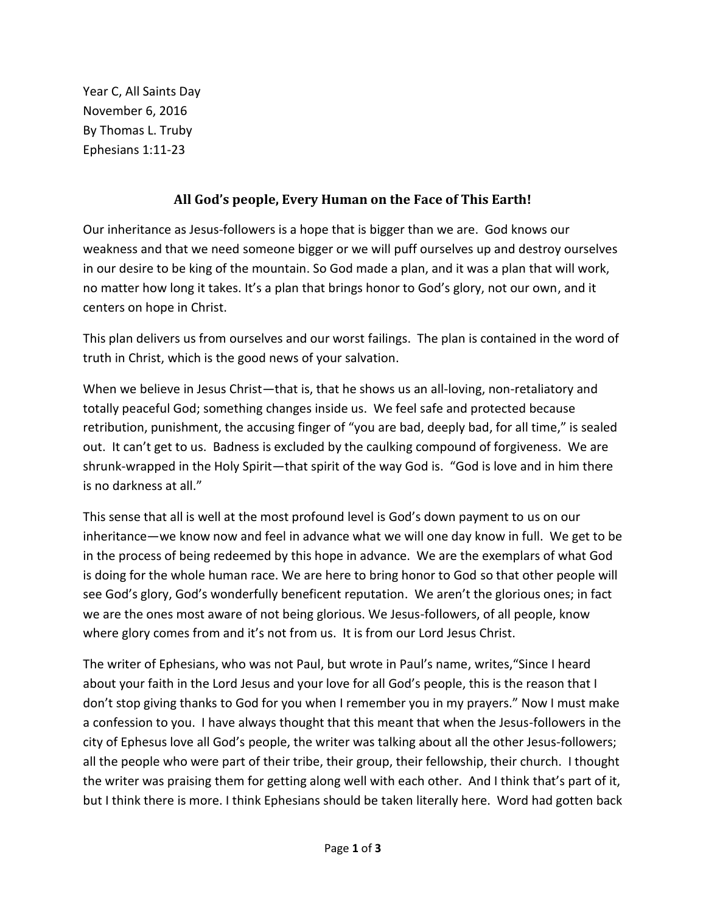Year C, All Saints Day November 6, 2016 By Thomas L. Truby Ephesians 1:11-23

## **All God's people, Every Human on the Face of This Earth!**

Our inheritance as Jesus-followers is a hope that is bigger than we are. God knows our weakness and that we need someone bigger or we will puff ourselves up and destroy ourselves in our desire to be king of the mountain. So God made a plan, and it was a plan that will work, no matter how long it takes. It's a plan that brings honor to God's glory, not our own, and it centers on hope in Christ.

This plan delivers us from ourselves and our worst failings. The plan is contained in the word of truth in Christ, which is the good news of your salvation.

When we believe in Jesus Christ—that is, that he shows us an all-loving, non-retaliatory and totally peaceful God; something changes inside us. We feel safe and protected because retribution, punishment, the accusing finger of "you are bad, deeply bad, for all time," is sealed out. It can't get to us. Badness is excluded by the caulking compound of forgiveness. We are shrunk-wrapped in the Holy Spirit—that spirit of the way God is. "God is love and in him there is no darkness at all."

This sense that all is well at the most profound level is God's down payment to us on our inheritance—we know now and feel in advance what we will one day know in full. We get to be in the process of being redeemed by this hope in advance. We are the exemplars of what God is doing for the whole human race. We are here to bring honor to God so that other people will see God's glory, God's wonderfully beneficent reputation. We aren't the glorious ones; in fact we are the ones most aware of not being glorious. We Jesus-followers, of all people, know where glory comes from and it's not from us. It is from our Lord Jesus Christ.

The writer of Ephesians, who was not Paul, but wrote in Paul's name, writes,"Since I heard about your faith in the Lord Jesus and your love for all God's people, this is the reason that I don't stop giving thanks to God for you when I remember you in my prayers." Now I must make a confession to you. I have always thought that this meant that when the Jesus-followers in the city of Ephesus love all God's people, the writer was talking about all the other Jesus-followers; all the people who were part of their tribe, their group, their fellowship, their church. I thought the writer was praising them for getting along well with each other. And I think that's part of it, but I think there is more. I think Ephesians should be taken literally here. Word had gotten back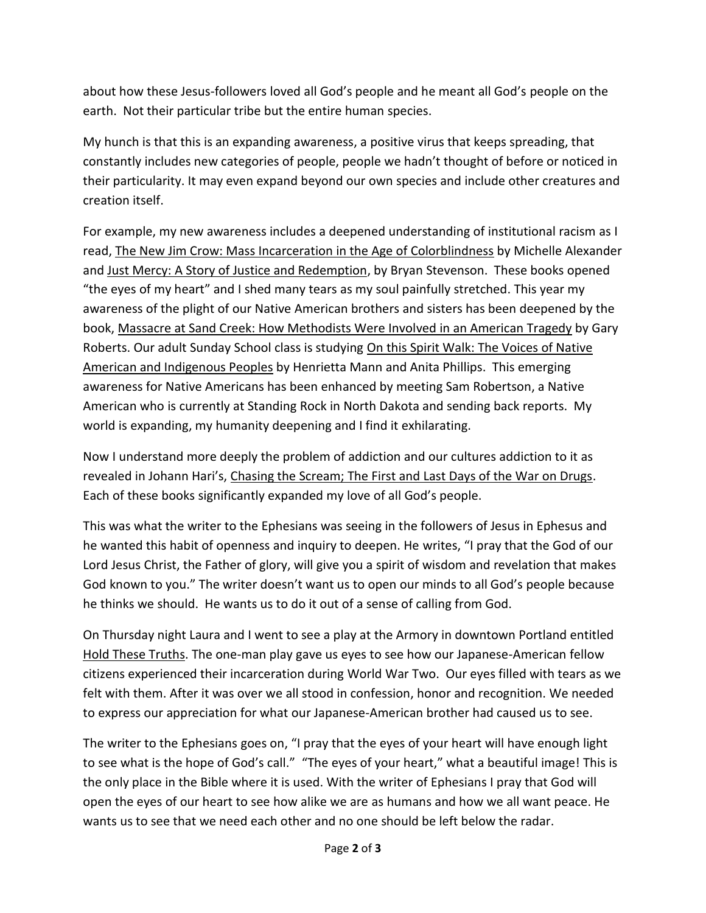about how these Jesus-followers loved all God's people and he meant all God's people on the earth. Not their particular tribe but the entire human species.

My hunch is that this is an expanding awareness, a positive virus that keeps spreading, that constantly includes new categories of people, people we hadn't thought of before or noticed in their particularity. It may even expand beyond our own species and include other creatures and creation itself.

For example, my new awareness includes a deepened understanding of institutional racism as I read, The New Jim Crow: Mass Incarceration in the Age of Colorblindness by Michelle Alexander and Just Mercy: A Story of Justice and Redemption, by Bryan Stevenson. These books opened "the eyes of my heart" and I shed many tears as my soul painfully stretched. This year my awareness of the plight of our Native American brothers and sisters has been deepened by the book, Massacre at Sand Creek: How Methodists Were Involved in an American Tragedy by Gary Roberts. Our adult Sunday School class is studying On this Spirit Walk: The Voices of Native American and Indigenous Peoples by Henrietta Mann and Anita Phillips. This emerging awareness for Native Americans has been enhanced by meeting Sam Robertson, a Native American who is currently at Standing Rock in North Dakota and sending back reports. My world is expanding, my humanity deepening and I find it exhilarating.

Now I understand more deeply the problem of addiction and our cultures addiction to it as revealed in Johann Hari's, Chasing the Scream; The First and Last Days of the War on Drugs. Each of these books significantly expanded my love of all God's people.

This was what the writer to the Ephesians was seeing in the followers of Jesus in Ephesus and he wanted this habit of openness and inquiry to deepen. He writes, "I pray that the God of our Lord Jesus Christ, the Father of glory, will give you a spirit of wisdom and revelation that makes God known to you." The writer doesn't want us to open our minds to all God's people because he thinks we should. He wants us to do it out of a sense of calling from God.

On Thursday night Laura and I went to see a play at the Armory in downtown Portland entitled Hold These Truths. The one-man play gave us eyes to see how our Japanese-American fellow citizens experienced their incarceration during World War Two. Our eyes filled with tears as we felt with them. After it was over we all stood in confession, honor and recognition. We needed to express our appreciation for what our Japanese-American brother had caused us to see.

The writer to the Ephesians goes on, "I pray that the eyes of your heart will have enough light to see what is the hope of God's call." "The eyes of your heart," what a beautiful image! This is the only place in the Bible where it is used. With the writer of Ephesians I pray that God will open the eyes of our heart to see how alike we are as humans and how we all want peace. He wants us to see that we need each other and no one should be left below the radar.